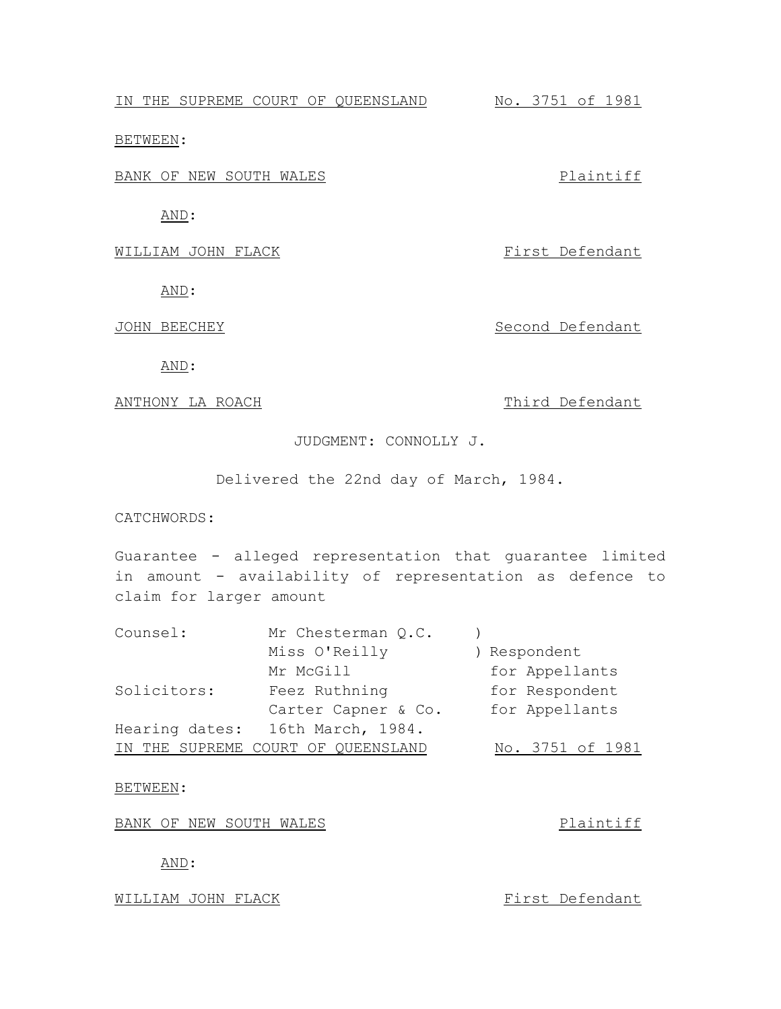IN THE SUPREME COURT OF QUEENSLAND No. 3751 of 1981

BETWEEN:

BANK OF NEW SOUTH WALES **Example 20 Finally Plaintiff** 

AND:

WILLIAM JOHN FLACK THE SERIES OF THE SERIES PERSON FIRST DEFENDANT

AND:

JOHN BEECHEY Second Defendant

AND:

ANTHONY LA ROACH Third Defendant

JUDGMENT: CONNOLLY J.

Delivered the 22nd day of March, 1984.

CATCHWORDS:

Guarantee - alleged representation that guarantee limited in amount - availability of representation as defence to claim for larger amount

| Counsel:       | Mr Chesterman Q.C.                 |                  |
|----------------|------------------------------------|------------------|
|                | Miss O'Reilly                      | ) Respondent     |
|                | Mr McGill                          | for Appellants   |
| Solicitors:    | Feez Ruthning                      | for Respondent   |
|                | Carter Capner & Co.                | for Appellants   |
| Hearing dates: | 16th March, 1984.                  |                  |
|                | IN THE SUPREME COURT OF QUEENSLAND | No. 3751 of 1981 |

BETWEEN:

BANK OF NEW SOUTH WALES **Example 20 For Setting Arrow Plaintiff** 

AND:

WILLIAM JOHN FLACK FIRST Defendant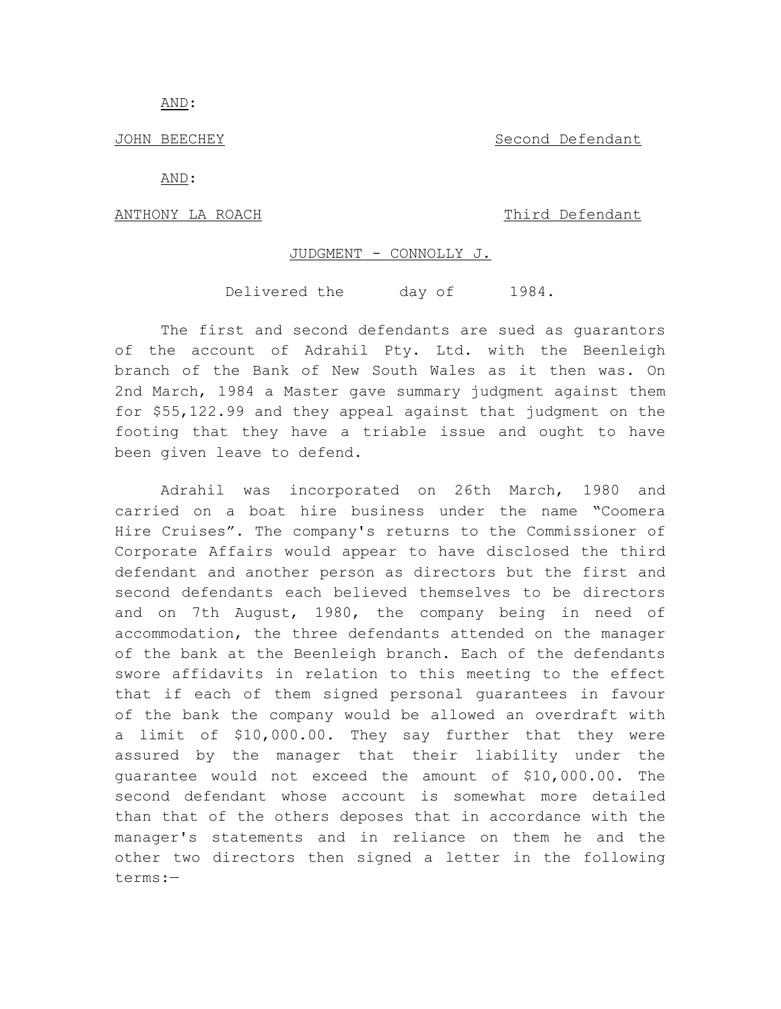AND:

JOHN BEECHEY Second Defendant

AND:

ANTHONY LA ROACH Third Defendant

## JUDGMENT - CONNOLLY J.

Delivered the day of 1984.

The first and second defendants are sued as guarantors of the account of Adrahil Pty. Ltd. with the Beenleigh branch of the Bank of New South Wales as it then was. On 2nd March, 1984 a Master gave summary judgment against them for \$55,122.99 and they appeal against that judgment on the footing that they have a triable issue and ought to have been given leave to defend.

Adrahil was incorporated on 26th March, 1980 and carried on a boat hire business under the name "Coomera Hire Cruises". The company's returns to the Commissioner of Corporate Affairs would appear to have disclosed the third defendant and another person as directors but the first and second defendants each believed themselves to be directors and on 7th August, 1980, the company being in need of accommodation, the three defendants attended on the manager of the bank at the Beenleigh branch. Each of the defendants swore affidavits in relation to this meeting to the effect that if each of them signed personal guarantees in favour of the bank the company would be allowed an overdraft with a limit of \$10,000.00. They say further that they were assured by the manager that their liability under the guarantee would not exceed the amount of \$10,000.00. The second defendant whose account is somewhat more detailed than that of the others deposes that in accordance with the manager's statements and in reliance on them he and the other two directors then signed a letter in the following terms:—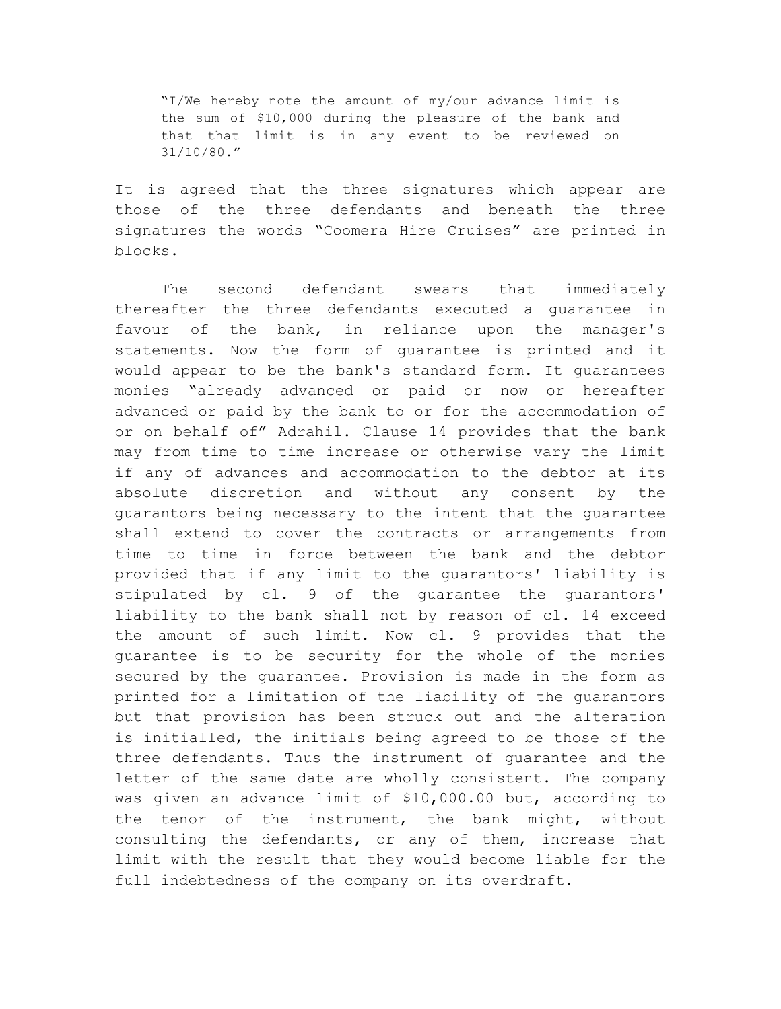"I/We hereby note the amount of my/our advance limit is the sum of \$10,000 during the pleasure of the bank and that that limit is in any event to be reviewed on 31/10/80."

It is agreed that the three signatures which appear are those of the three defendants and beneath the three signatures the words "Coomera Hire Cruises" are printed in blocks.

The second defendant swears that immediately thereafter the three defendants executed a guarantee in favour of the bank, in reliance upon the manager's statements. Now the form of guarantee is printed and it would appear to be the bank's standard form. It guarantees monies "already advanced or paid or now or hereafter advanced or paid by the bank to or for the accommodation of or on behalf of" Adrahil. Clause 14 provides that the bank may from time to time increase or otherwise vary the limit if any of advances and accommodation to the debtor at its absolute discretion and without any consent by the guarantors being necessary to the intent that the guarantee shall extend to cover the contracts or arrangements from time to time in force between the bank and the debtor provided that if any limit to the guarantors' liability is stipulated by cl. 9 of the guarantee the guarantors' liability to the bank shall not by reason of cl. 14 exceed the amount of such limit. Now cl. 9 provides that the guarantee is to be security for the whole of the monies secured by the guarantee. Provision is made in the form as printed for a limitation of the liability of the guarantors but that provision has been struck out and the alteration is initialled, the initials being agreed to be those of the three defendants. Thus the instrument of guarantee and the letter of the same date are wholly consistent. The company was given an advance limit of \$10,000.00 but, according to the tenor of the instrument, the bank might, without consulting the defendants, or any of them, increase that limit with the result that they would become liable for the full indebtedness of the company on its overdraft.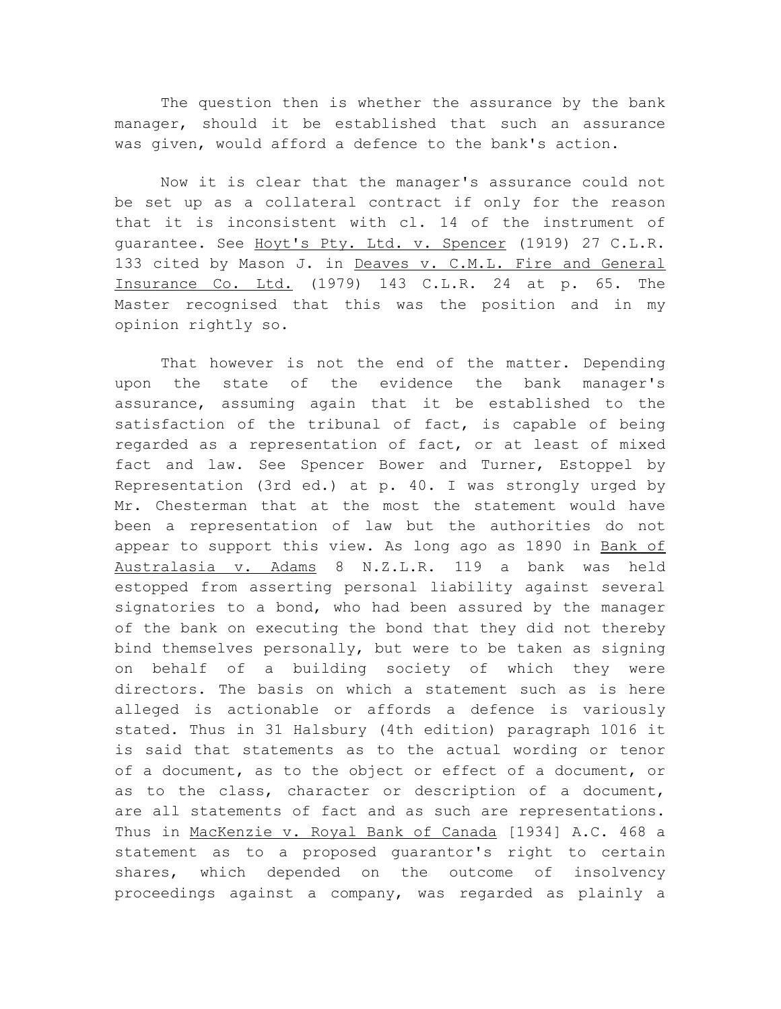The question then is whether the assurance by the bank manager, should it be established that such an assurance was given, would afford a defence to the bank's action.

Now it is clear that the manager's assurance could not be set up as a collateral contract if only for the reason that it is inconsistent with cl. 14 of the instrument of guarantee. See Hoyt's Pty. Ltd. v. Spencer (1919) 27 C.L.R. 133 cited by Mason J. in Deaves v. C.M.L. Fire and General Insurance Co. Ltd. (1979) 143 C.L.R. 24 at p. 65. The Master recognised that this was the position and in my opinion rightly so.

That however is not the end of the matter. Depending upon the state of the evidence the bank manager's assurance, assuming again that it be established to the satisfaction of the tribunal of fact, is capable of being regarded as a representation of fact, or at least of mixed fact and law. See Spencer Bower and Turner, Estoppel by Representation (3rd ed.) at p. 40. I was strongly urged by Mr. Chesterman that at the most the statement would have been a representation of law but the authorities do not appear to support this view. As long ago as 1890 in Bank of Australasia v. Adams 8 N.Z.L.R. 119 a bank was held estopped from asserting personal liability against several signatories to a bond, who had been assured by the manager of the bank on executing the bond that they did not thereby bind themselves personally, but were to be taken as signing on behalf of a building society of which they were directors. The basis on which a statement such as is here alleged is actionable or affords a defence is variously stated. Thus in 31 Halsbury (4th edition) paragraph 1016 it is said that statements as to the actual wording or tenor of a document, as to the object or effect of a document, or as to the class, character or description of a document, are all statements of fact and as such are representations. Thus in MacKenzie v. Royal Bank of Canada [1934] A.C. 468 a statement as to a proposed guarantor's right to certain shares, which depended on the outcome of insolvency proceedings against a company, was regarded as plainly a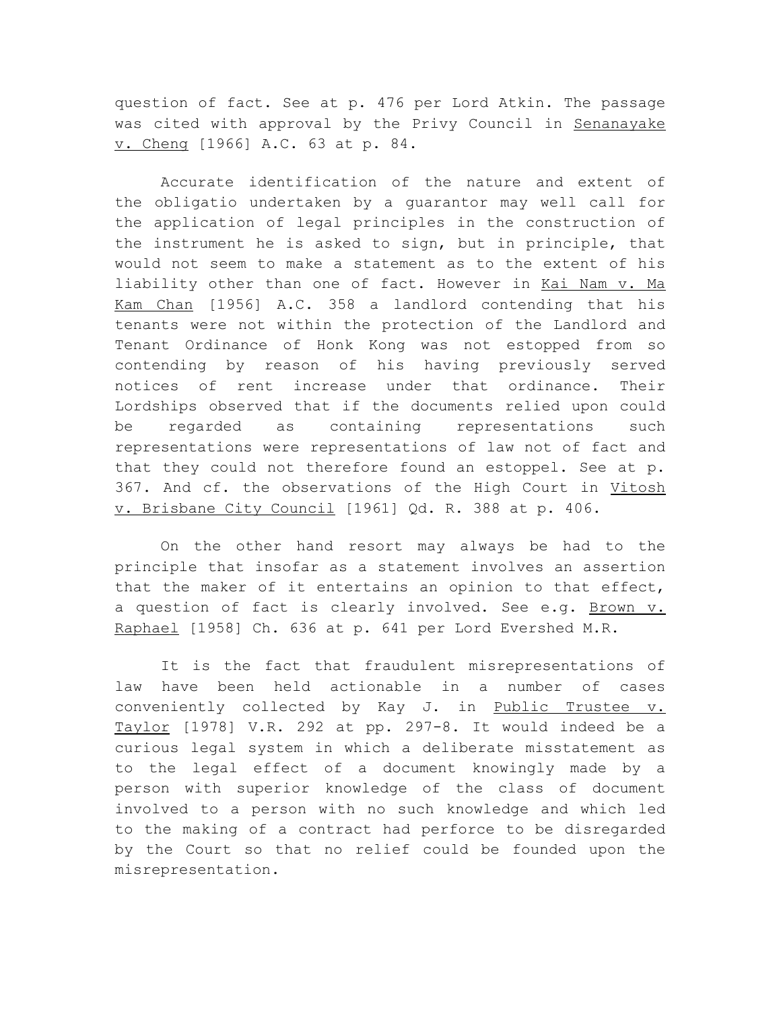question of fact. See at p. 476 per Lord Atkin. The passage was cited with approval by the Privy Council in Senanayake v. Cheng [1966] A.C. 63 at p. 84.

Accurate identification of the nature and extent of the obligatio undertaken by a guarantor may well call for the application of legal principles in the construction of the instrument he is asked to sign, but in principle, that would not seem to make a statement as to the extent of his liability other than one of fact. However in Kai Nam v. Ma Kam Chan [1956] A.C. 358 a landlord contending that his tenants were not within the protection of the Landlord and Tenant Ordinance of Honk Kong was not estopped from so contending by reason of his having previously served notices of rent increase under that ordinance. Their Lordships observed that if the documents relied upon could be regarded as containing representations such representations were representations of law not of fact and that they could not therefore found an estoppel. See at p. 367. And cf. the observations of the High Court in Vitosh v. Brisbane City Council [1961] Qd. R. 388 at p. 406.

On the other hand resort may always be had to the principle that insofar as a statement involves an assertion that the maker of it entertains an opinion to that effect, a question of fact is clearly involved. See e.g. Brown v. Raphael [1958] Ch. 636 at p. 641 per Lord Evershed M.R.

It is the fact that fraudulent misrepresentations of law have been held actionable in a number of cases conveniently collected by Kay J. in Public Trustee v. Taylor [1978] V.R. 292 at pp. 297-8. It would indeed be a curious legal system in which a deliberate misstatement as to the legal effect of a document knowingly made by a person with superior knowledge of the class of document involved to a person with no such knowledge and which led to the making of a contract had perforce to be disregarded by the Court so that no relief could be founded upon the misrepresentation.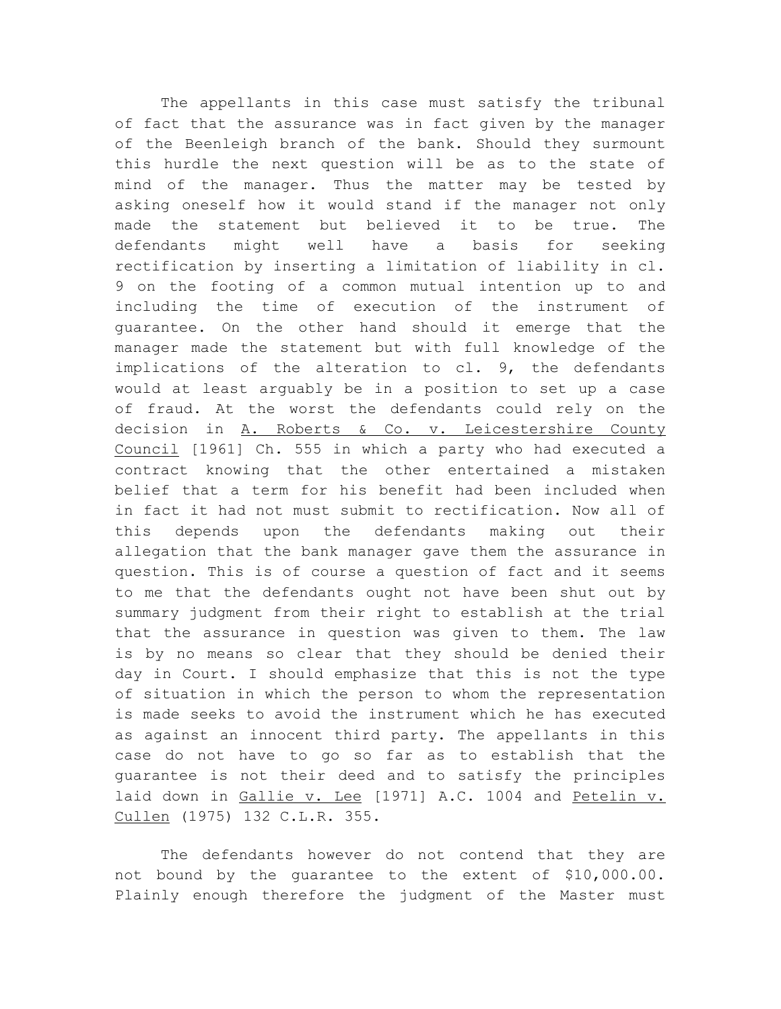The appellants in this case must satisfy the tribunal of fact that the assurance was in fact given by the manager of the Beenleigh branch of the bank. Should they surmount this hurdle the next question will be as to the state of mind of the manager. Thus the matter may be tested by asking oneself how it would stand if the manager not only made the statement but believed it to be true. The defendants might well have a basis for seeking rectification by inserting a limitation of liability in cl. 9 on the footing of a common mutual intention up to and including the time of execution of the instrument of guarantee. On the other hand should it emerge that the manager made the statement but with full knowledge of the implications of the alteration to cl. 9, the defendants would at least arguably be in a position to set up a case of fraud. At the worst the defendants could rely on the decision in A. Roberts & Co. v. Leicestershire County Council [1961] Ch. 555 in which a party who had executed a contract knowing that the other entertained a mistaken belief that a term for his benefit had been included when in fact it had not must submit to rectification. Now all of this depends upon the defendants making out their allegation that the bank manager gave them the assurance in question. This is of course a question of fact and it seems to me that the defendants ought not have been shut out by summary judgment from their right to establish at the trial that the assurance in question was given to them. The law is by no means so clear that they should be denied their day in Court. I should emphasize that this is not the type of situation in which the person to whom the representation is made seeks to avoid the instrument which he has executed as against an innocent third party. The appellants in this case do not have to go so far as to establish that the guarantee is not their deed and to satisfy the principles laid down in Gallie v. Lee [1971] A.C. 1004 and Petelin v. Cullen (1975) 132 C.L.R. 355.

The defendants however do not contend that they are not bound by the guarantee to the extent of \$10,000.00. Plainly enough therefore the judgment of the Master must